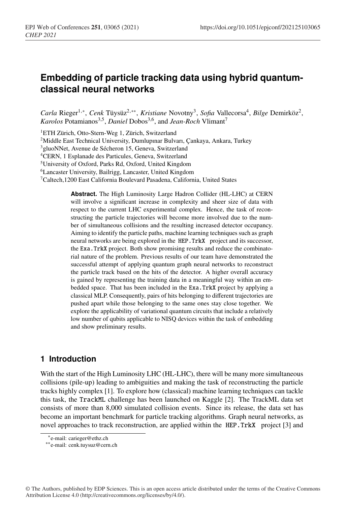# **Embedding of particle tracking data using hybrid quantumclassical neural networks**

*Carla* Rieger1,∗, *Cenk* Tüysüz2,∗∗, *Kristiane* Novotny3, *Sofia* Vallecorsa4, *Bilge* Demirköz2, *Karolos* Potamianos<sup>3,5</sup>, *Daniel* Dobos<sup>3,6</sup>, and *Jean-Roch* Vlimant<sup>7</sup>

<sup>1</sup>ETH Zürich, Otto-Stern-Weg 1, Zürich, Switzerland

2Middle East Technical University, Dumlupınar Bulvarı, Çankaya, Ankara, Turkey

3gluoNNet, Avenue de Sécheron 15, Geneva, Switzerland

4CERN, 1 Esplanade des Particules, Geneva, Switzerland

5University of Oxford, Parks Rd, Oxford, United Kingdom

6Lancaster University, Bailrigg, Lancaster, United Kingdom

7Caltech,1200 East California Boulevard Pasadena, California, United States

**Abstract.** The High Luminosity Large Hadron Collider (HL-LHC) at CERN will involve a significant increase in complexity and sheer size of data with respect to the current LHC experimental complex. Hence, the task of reconstructing the particle trajectories will become more involved due to the number of simultaneous collisions and the resulting increased detector occupancy. Aiming to identify the particle paths, machine learning techniques such as graph neural networks are being explored in the HEP.TrkX project and its successor, the Exa.TrkX project. Both show promising results and reduce the combinatorial nature of the problem. Previous results of our team have demonstrated the successful attempt of applying quantum graph neural networks to reconstruct the particle track based on the hits of the detector. A higher overall accuracy is gained by representing the training data in a meaningful way within an embedded space. That has been included in the Exa.TrkX project by applying a classical MLP. Consequently, pairs of hits belonging to different trajectories are pushed apart while those belonging to the same ones stay close together. We explore the applicability of variational quantum circuits that include a relatively low number of qubits applicable to NISQ devices within the task of embedding and show preliminary results.

## **1 Introduction**

With the start of the High Luminosity LHC (HL-LHC), there will be many more simultaneous collisions (pile-up) leading to ambiguities and making the task of reconstructing the particle tracks highly complex [1]. To explore how (classical) machine learning techniques can tackle this task, the TrackML challenge has been launched on Kaggle [2]. The TrackML data set consists of more than 8,000 simulated collision events. Since its release, the data set has become an important benchmark for particle tracking algorithms. Graph neural networks, as novel approaches to track reconstruction, are applied within the HEP. TrkX project [3] and

<sup>∗</sup>e-mail: carieger@ethz.ch

<sup>∗∗</sup>e-mail: cenk.tuysuz@cern.ch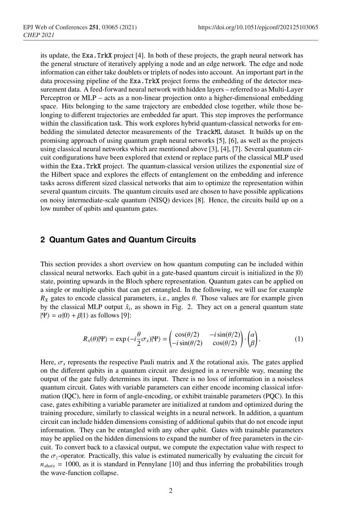its update, the Exa.TrkX project [4]. In both of these projects, the graph neural network has the general structure of iteratively applying a node and an edge network. The edge and node information can either take doublets or triplets of nodes into account. An important part in the data processing pipeline of the Exa.TrkX project forms the embedding of the detector measurement data. A feed-forward neural network with hidden layers – referred to as Multi-Layer Perceptron or MLP – acts as a non-linear projection onto a higher-dimensional embedding space. Hits belonging to the same trajectory are embedded close together, while those belonging to different trajectories are embedded far apart. This step improves the performance within the classification task. This work explores hybrid quantum-classical networks for embedding the simulated detector measurements of the TrackML dataset. It builds up on the promising approach of using quantum graph neural networks [5], [6], as well as the projects using classical neural networks which are mentioned above [3], [4], [7]. Several quantum circuit configurations have been explored that extend or replace parts of the classical MLP used within the Exa.TrkX project. The quantum-classical version utilizes the exponential size of the Hilbert space and explores the effects of entanglement on the embedding and inference tasks across different sized classical networks that aim to optimize the representation within several quantum circuits. The quantum circuits used are chosen to have possible applications on noisy intermediate-scale quantum (NISQ) devices [8]. Hence, the circuits build up on a low number of qubits and quantum gates.

### **2 Quantum Gates and Quantum Circuits**

This section provides a short overview on how quantum computing can be included within classical neural networks. Each qubit in a gate-based quantum circuit is initialized in the  $|0\rangle$ state, pointing upwards in the Bloch sphere representation. Quantum gates can be applied on a single or multiple qubits that can get entangled. In the following, we will use for example  $R_X$  gates to encode classical parameters, i.e., angles  $\theta$ . Those values are for example given by the classical MLP output  $\hat{x}_i$ , as shown in Fig. 2. They act on a general quantum state  $|\Psi\rangle = \alpha|0\rangle + \beta|1\rangle$  as follows [9]:

$$
R_x(\theta)|\Psi\rangle = \exp(-i\frac{\theta}{2}\sigma_x)|\Psi\rangle = \begin{pmatrix} \cos(\theta/2) & -i\sin(\theta/2) \\ -i\sin(\theta/2) & \cos(\theta/2) \end{pmatrix} \cdot \begin{pmatrix} \alpha \\ \beta \end{pmatrix}.
$$
 (1)

Here,  $\sigma_x$  represents the respective Pauli matrix and *X* the rotational axis. The gates applied on the different qubits in a quantum circuit are designed in a reversible way, meaning the output of the gate fully determines its input. There is no loss of information in a noiseless quantum circuit. Gates with variable parameters can either encode incoming classical information (IQC), here in form of angle-encoding, or exhibit trainable parameters (PQC). In this case, gates exhibiting a variable parameter are initialized at random and optimized during the training procedure, similarly to classical weights in a neural network. In addition, a quantum circuit can include hidden dimensions consisting of additional qubits that do not encode input information. They can be entangled with any other qubit. Gates with trainable parameters may be applied on the hidden dimensions to expand the number of free parameters in the circuit. To convert back to a classical output, we compute the expectation value with respect to the  $\sigma_z$ -operator. Practically, this value is estimated numerically by evaluating the circuit for  $n_{shots} = 1000$ , as it is standard in Pennylane [10] and thus inferring the probabilities trough the wave-function collapse.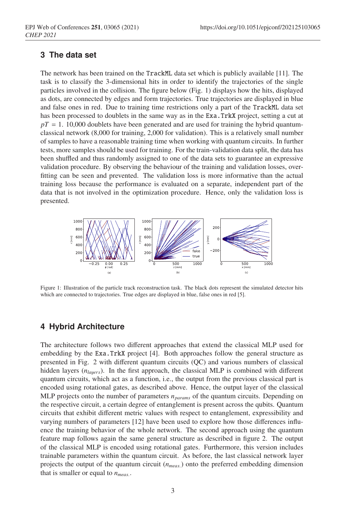### **3 The data set**

The network has been trained on the TrackML data set which is publicly available [11]. The task is to classify the 3-dimensional hits in order to identify the trajectories of the single particles involved in the collision. The figure below (Fig. 1) displays how the hits, displayed as dots, are connected by edges and form trajectories. True trajectories are displayed in blue and false ones in red. Due to training time restrictions only a part of the TrackML data set has been processed to doublets in the same way as in the Exa.TrkX project, setting a cut at  $pT = 1.$  10,000 doublets have been generated and are used for training the hybrid quantumclassical network (8,000 for training, 2,000 for validation). This is a relatively small number of samples to have a reasonable training time when working with quantum circuits. In further tests, more samples should be used for training. For the train-validation data split, the data has been shuffled and thus randomly assigned to one of the data sets to guarantee an expressive validation procedure. By observing the behaviour of the training and validation losses, overfitting can be seen and prevented. The validation loss is more informative than the actual training loss because the performance is evaluated on a separate, independent part of the data that is not involved in the optimization procedure. Hence, only the validation loss is presented.



Figure 1: Illustration of the particle track reconstruction task. The black dots represent the simulated detector hits which are connected to trajectories. True edges are displayed in blue, false ones in red [5].

### **4 Hybrid Architecture**

The architecture follows two different approaches that extend the classical MLP used for embedding by the Exa.TrkX project [4]. Both approaches follow the general structure as presented in Fig. 2 with different quantum circuits (QC) and various numbers of classical hidden layers ( $n_{la \mu}$ ). In the first approach, the classical MLP is combined with different quantum circuits, which act as a function, i.e., the output from the previous classical part is encoded using rotational gates, as described above. Hence, the output layer of the classical MLP projects onto the number of parameters  $n_{params}$  of the quantum circuits. Depending on the respective circuit, a certain degree of entanglement is present across the qubits. Quantum circuits that exhibit different metric values with respect to entanglement, expressibility and varying numbers of parameters [12] have been used to explore how those differences influence the training behavior of the whole network. The second approach using the quantum feature map follows again the same general structure as described in figure 2. The output of the classical MLP is encoded using rotational gates. Furthermore, this version includes trainable parameters within the quantum circuit. As before, the last classical network layer projects the output of the quantum circuit (*nmeas*.) onto the preferred embedding dimension that is smaller or equal to  $n_{meas.}$ .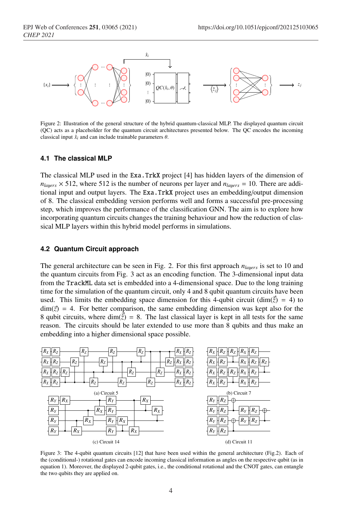

Figure 2: Illustration of the general structure of the hybrid quantum-classical MLP. The displayed quantum circuit (QC) acts as a placeholder for the quantum circuit architectures presented below. The QC encodes the incoming classical input  $\hat{x}_i$  and can include trainable parameters  $\theta$ .

#### **4.1 The classical MLP**

The classical MLP used in the Exa.TrkX project [4] has hidden layers of the dimension of  $n_{\text{lauers}} \times 512$ , where 512 is the number of neurons per layer and  $n_{\text{lauers}} = 10$ . There are additional input and output layers. The Exa.TrkX project uses an embedding/output dimension of 8. The classical embedding version performs well and forms a successful pre-processing step, which improves the performance of the classification GNN. The aim is to explore how incorporating quantum circuits changes the training behaviour and how the reduction of classical MLP layers within this hybrid model performs in simulations.

#### **4.2 Quantum Circuit approach**

The general architecture can be seen in Fig. 2. For this first approach  $n_{lawers}$  is set to 10 and the quantum circuits from Fig. 3 act as an encoding function. The 3-dimensional input data from the TrackML data set is embedded into a 4-dimensional space. Due to the long training time for the simulation of the quantum circuit, only 4 and 8 qubit quantum circuits have been used. This limits the embedding space dimension for this 4-qubit circuit (dim( $\tilde{\zeta}$ ) = 4) to  $\dim(\vec{z}) = 4$ . For better comparison, the same embedding dimension was kept also for the 8 qubit circuits, where dim( $\vec{z}$ ) = 8. The last classical layer is kept in all tests for the same reason. The circuits should be later extended to use more than 8 qubits and thus make an embedding into a higher dimensional space possible.



Figure 3: The 4-qubit quantum circuits [12] that have been used within the general architecture (Fig.2). Each of the (conditional-) rotational gates can encode incoming classical information as angles on the respective qubit (as in equation 1). Moreover, the displayed 2-qubit gates, i.e., the conditional rotational and the CNOT gates, can entangle the two qubits they are applied on.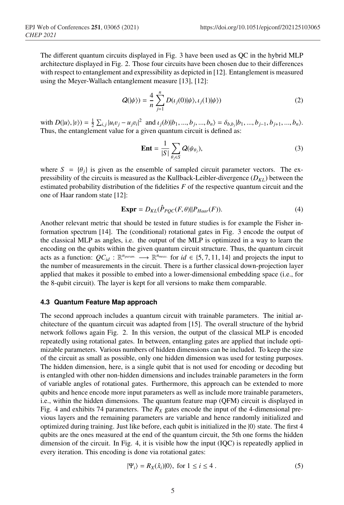The different quantum circuits displayed in Fig. 3 have been used as QC in the hybrid MLP architecture displayed in Fig. 2. Those four circuits have been chosen due to their differences with respect to entanglement and expressibility as depicted in [12]. Entanglement is measured using the Meyer-Wallach entanglement measure [13], [12]:

$$
Q(|\psi\rangle) = \frac{4}{n} \sum_{j=1}^{n} D(\iota_j(0)|\psi\rangle, \iota_j(1)|\psi\rangle)
$$
 (2)

with  $D(u\lambda, |v\rangle) = \frac{1}{2} \sum_{i,j} |u_i v_j - u_j v_i|^2$  and  $\iota_j(b)|b_1, ..., b_j, ..., b_n\rangle = \delta_{b,b_j}|b_1, ..., b_{j-1}, b_{j+1}, ..., b_n\rangle$ . Thus, the entanglement value for a given quantum circuit is defined as:

$$
\mathbf{Ent} = \frac{1}{|S|} \sum_{\theta_j \in S} Q(\psi_{\theta_j}), \tag{3}
$$

where  $S = {\theta_i}$  is given as the ensemble of sampled circuit parameter vectors. The expressibility of the circuits is measured as the Kullback-Leibler-divergence  $(D_{KL})$  between the estimated probability distribution of the fidelities *F* of the respective quantum circuit and the one of Haar random state [12]:

$$
\mathbf{Expr} = D_{KL}(\hat{P}_{PQC}(F,\theta) || P_{Haar}(F)). \tag{4}
$$

Another relevant metric that should be tested in future studies is for example the Fisher information spectrum [14]. The (conditional) rotational gates in Fig. 3 encode the output of the classical MLP as angles, i.e. the output of the MLP is optimized in a way to learn the encoding on the qubits within the given quantum circuit structure. Thus, the quantum circuit acts as a function:  $QC_{id}$  :  $\mathbb{R}^{n_{param}} \longrightarrow \mathbb{R}^{n_{meas}}$  for  $id \in \{5, 7, 11, 14\}$  and projects the input to the number of measurements in the circuit. There is a further classical down-projection layer applied that makes it possible to embed into a lower-dimensional embedding space (i.e., for the 8-qubit circuit). The layer is kept for all versions to make them comparable.

#### **4.3 Quantum Feature Map approach**

The second approach includes a quantum circuit with trainable parameters. The initial architecture of the quantum circuit was adapted from [15]. The overall structure of the hybrid network follows again Fig. 2. In this version, the output of the classical MLP is encoded repeatedly using rotational gates. In between, entangling gates are applied that include optimizable parameters. Various numbers of hidden dimensions can be included. To keep the size of the circuit as small as possible, only one hidden dimension was used for testing purposes. The hidden dimension, here, is a single qubit that is not used for encoding or decoding but is entangled with other non-hidden dimensions and includes trainable parameters in the form of variable angles of rotational gates. Furthermore, this approach can be extended to more qubits and hence encode more input parameters as well as include more trainable parameters, i.e., within the hidden dimensions. The quantum feature map (QFM) circuit is displayed in Fig. 4 and exhibits 74 parameters. The  $R_X$  gates encode the input of the 4-dimensional previous layers and the remaining parameters are variable and hence randomly initialized and optimized during training. Just like before, each qubit is initialized in the  $|0\rangle$  state. The first 4 qubits are the ones measured at the end of the quantum circuit, the 5th one forms the hidden dimension of the circuit. In Fig. 4, it is visible how the input (IQC) is repeatedly applied in every iteration. This encoding is done via rotational gates:

$$
|\Psi_i\rangle = R_X(\hat{x}_i)|0\rangle, \text{ for } 1 \le i \le 4.
$$
 (5)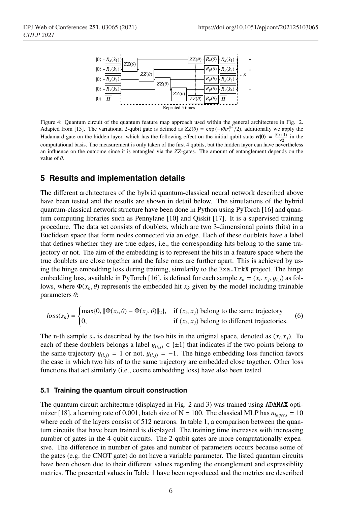

Figure 4: Quantum circuit of the quantum feature map approach used within the general architecture in Fig. 2. Adapted from [15]. The variational 2-qubit gate is defined as  $ZZ(\theta) = \exp(-i\theta \sigma_z^{\otimes 2}/2)$ , additionally we apply the Hadamard gate on the hidden layer, which has the following effect on the initial qubit state  $H|0\rangle = \frac{|0\rangle + |1\rangle}{\sqrt{2}}$  in the computational basis. The measurement is only taken of the first 4 qubits, but the hidden layer can have nevertheless an influence on the outcome since it is entangled via the *ZZ*-gates. The amount of entanglement depends on the value of  $\theta$ .

### **5 Results and implementation details**

The different architectures of the hybrid quantum-classical neural network described above have been tested and the results are shown in detail below. The simulations of the hybrid quantum-classical network structure have been done in Python using PyTorch [16] and quantum computing libraries such as Pennylane [10] and Qiskit [17]. It is a supervised training procedure. The data set consists of doublets, which are two 3-dimensional points (hits) in a Euclidean space that form nodes connected via an edge. Each of these doublets have a label that defines whether they are true edges, i.e., the corresponding hits belong to the same trajectory or not. The aim of the embedding is to represent the hits in a feature space where the true doublets are close together and the false ones are further apart. This is achieved by using the hinge embedding loss during training, similarily to the Exa.TrkX project. The hinge embedding loss, available in PyTorch [16], is defined for each sample  $s_n = (x_i, x_j, y_i)$  as follows, where  $\Phi(x_k, \theta)$  represents the embedded hit  $x_k$  given by the model including trainable parameters  $θ$ :

$$
loss(s_n) = \begin{cases} \max\{0, \|\Phi(x_i, \theta) - \Phi(x_j, \theta)\|_2\}, & \text{if } (x_i, x_j) \text{ belong to the same trajectory} \\ 0, & \text{if } (x_i, x_j) \text{ belong to different trajectories.} \end{cases}
$$
(6)

The n-th sample  $s_n$  is described by the two hits in the original space, denoted as  $(x_i, x_j)$ . To each of these doublets belongs a label  $y_{(i,j)} \in \{\pm 1\}$  that indicates if the two points belong to the same trajectory  $y_{(i,j)} = 1$  or not,  $y_{(i,j)} = -1$ . The hinge embedding loss function favors the case in which two hits of to the same trajectory are embedded close together. Other loss functions that act similarly (i.e., cosine embedding loss) have also been tested.

#### **5.1 Training the quantum circuit construction**

The quantum circuit architecture (displayed in Fig. 2 and 3) was trained using ADAMAX optimizer [18], a learning rate of 0.001, batch size of  $N = 100$ . The classical MLP has  $n_{lavers} = 10$ where each of the layers consist of 512 neurons. In table 1, a comparison between the quantum circuits that have been trained is displayed. The training time increases with increasing number of gates in the 4-qubit circuits. The 2-qubit gates are more computationally expensive. The difference in number of gates and number of parameters occurs because some of the gates (e.g. the CNOT gate) do not have a variable parameter. The listed quantum circuits have been chosen due to their different values regarding the entanglement and expressiblity metrics. The presented values in Table 1 have been reproduced and the metrics are described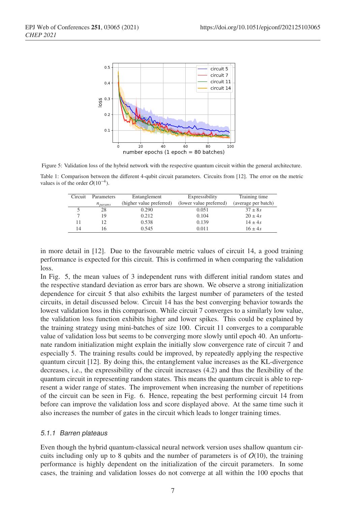

Figure 5: Validation loss of the hybrid network with the respective quantum circuit within the general architecture.

Table 1: Comparison between the different 4-qubit circuit parameters. Circuits from [12]. The error on the metric values is of the order  $O(10^{-4})$ .

| Circuit | Parameters   | Entanglement             | Expressibility          | Training time       |
|---------|--------------|--------------------------|-------------------------|---------------------|
|         | $n_{params}$ | (higher value preferred) | (lower value preferred) | (average per batch) |
|         | 28           | 0.290                    | 0.051                   | $37 \pm 8s$         |
|         | 19           | 0.212                    | 0.104                   | $20 \pm 4s$         |
|         | 12           | 0.538                    | 0.139                   | $14 \pm 4s$         |
| 14      | 16           | 0.545                    | 0.011                   | $16 + 4s$           |

in more detail in [12]. Due to the favourable metric values of circuit 14, a good training performance is expected for this circuit. This is confirmed in when comparing the validation loss.

In Fig. 5, the mean values of 3 independent runs with different initial random states and the respective standard deviation as error bars are shown. We observe a strong initialization dependence for circuit 5 that also exhibits the largest number of parameters of the tested circuits, in detail discussed below. Circuit 14 has the best converging behavior towards the lowest validation loss in this comparison. While circuit 7 converges to a similarly low value, the validation loss function exhibits higher and lower spikes. This could be explained by the training strategy using mini-batches of size 100. Circuit 11 converges to a comparable value of validation loss but seems to be converging more slowly until epoch 40. An unfortunate random initialization might explain the initially slow convergence rate of circuit 7 and especially 5. The training results could be improved, by repeatedly applying the respective quantum circuit [12]. By doing this, the entanglement value increases as the KL-divergence decreases, i.e., the expressibility of the circuit increases (4.2) and thus the flexibility of the quantum circuit in representing random states. This means the quantum circuit is able to represent a wider range of states. The improvement when increasing the number of repetitions of the circuit can be seen in Fig. 6. Hence, repeating the best performing circuit 14 from before can improve the validation loss and score displayed above. At the same time such it also increases the number of gates in the circuit which leads to longer training times.

#### *5.1.1 Barren plateaus*

Even though the hybrid quantum-classical neural network version uses shallow quantum circuits including only up to 8 qubits and the number of parameters is of  $O(10)$ , the training performance is highly dependent on the initialization of the circuit parameters. In some cases, the training and validation losses do not converge at all within the 100 epochs that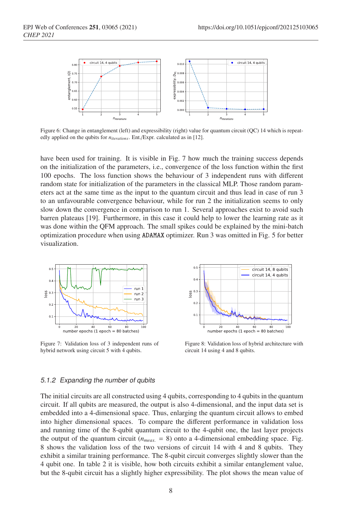

Figure 6: Change in entanglement (left) and expressibility (right) value for quantum circuit (QC) 14 which is repeatedly applied on the qubits for *niterations*. Ent./Expr. calculated as in [12].

have been used for training. It is visible in Fig. 7 how much the training success depends on the initialization of the parameters, i.e., convergence of the loss function within the first 100 epochs. The loss function shows the behaviour of 3 independent runs with different random state for initialization of the parameters in the classical MLP. Those random parameters act at the same time as the input to the quantum circuit and thus lead in case of run 3 to an unfavourable convergence behaviour, while for run 2 the initialization seems to only slow down the convergence in comparison to run 1. Several approaches exist to avoid such barren plateaus [19]. Furthermore, in this case it could help to lower the learning rate as it was done within the QFM approach. The small spikes could be explained by the mini-batch optimization procedure when using ADAMAX optimizer. Run 3 was omitted in Fig. 5 for better visualization.



Figure 7: Validation loss of 3 independent runs of hybrid network using circuit 5 with 4 qubits.



Figure 8: Validation loss of hybrid architecture with circuit 14 using 4 and 8 qubits.

#### *5.1.2 Expanding the number of qubits*

The initial circuits are all constructed using 4 qubits, corresponding to 4 qubits in the quantum circuit. If all qubits are measured, the output is also 4-dimensional, and the input data set is embedded into a 4-dimensional space. Thus, enlarging the quantum circuit allows to embed into higher dimensional spaces. To compare the different performance in validation loss and running time of the 8-qubit quantum circuit to the 4-qubit one, the last layer projects the output of the quantum circuit ( $n_{meas} = 8$ ) onto a 4-dimensional embedding space. Fig. 8 shows the validation loss of the two versions of circuit 14 with 4 and 8 qubits. They exhibit a similar training performance. The 8-qubit circuit converges slightly slower than the 4 qubit one. In table 2 it is visible, how both circuits exhibit a similar entanglement value, but the 8-qubit circuit has a slightly higher expressibility. The plot shows the mean value of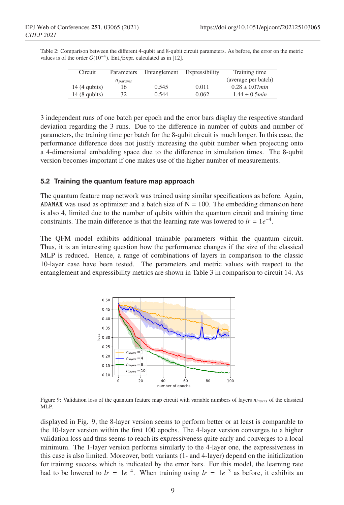| Circuit        | Parameters   | Entanglement | Expressibility | Training time              |
|----------------|--------------|--------------|----------------|----------------------------|
|                | $n_{params}$ |              |                | (average per batch)        |
| $14(4$ qubits) | 16           | 0.545        | 0.011          | $0.28 \pm 0.07$ <i>min</i> |
| $14(8$ qubits) | 32           | 0.544        | 0.062          | $1.44 \pm 0.5$ <i>min</i>  |

Table 2: Comparison between the different 4-qubit and 8-qubit circuit parameters. As before, the error on the metric values is of the order  $O(10^{-4})$ . Ent./Expr. calculated as in [12].

3 independent runs of one batch per epoch and the error bars display the respective standard deviation regarding the 3 runs. Due to the difference in number of qubits and number of parameters, the training time per batch for the 8-qubit circuit is much longer. In this case, the performance difference does not justify increasing the qubit number when projecting onto a 4-dimensional embedding space due to the difference in simulation times. The 8-qubit version becomes important if one makes use of the higher number of measurements.

### **5.2 Training the quantum feature map approach**

The quantum feature map network was trained using similar specifications as before. Again, ADAMAX was used as optimizer and a batch size of  $N = 100$ . The embedding dimension here is also 4, limited due to the number of qubits within the quantum circuit and training time constraints. The main difference is that the learning rate was lowered to  $lr = 1e^{-4}$ .

The QFM model exhibits additional trainable parameters within the quantum circuit. Thus, it is an interesting question how the performance changes if the size of the classical MLP is reduced. Hence, a range of combinations of layers in comparison to the classic 10-layer case have been tested. The parameters and metric values with respect to the entanglement and expressibility metrics are shown in Table 3 in comparison to circuit 14. As



Figure 9: Validation loss of the quantum feature map circuit with variable numbers of layers *nla*<sup>y</sup>*ers* of the classical MLP.

displayed in Fig. 9, the 8-layer version seems to perform better or at least is comparable to the 10-layer version within the first 100 epochs. The 4-layer version converges to a higher validation loss and thus seems to reach its expressiveness quite early and converges to a local minimum. The 1-layer version performs similarly to the 4-layer one, the expressiveness in this case is also limited. Moreover, both variants (1- and 4-layer) depend on the initialization for training success which is indicated by the error bars. For this model, the learning rate had to be lowered to  $lr = 1e^{-4}$ . When training using  $lr = 1e^{-3}$  as before, it exhibits an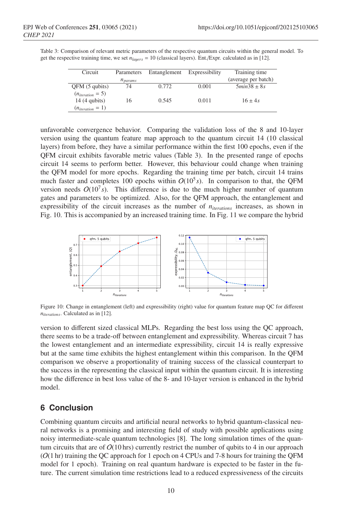| Circuit               | Parameters   | Entanglement Expressibility |       | Training time       |
|-----------------------|--------------|-----------------------------|-------|---------------------|
|                       | $n_{params}$ |                             |       | (average per batch) |
| QFM(5 qubits)         | 74           | 0.772                       | 0.001 | $5min38 + 8s$       |
| $(n_{iteration} = 5)$ |              |                             |       |                     |
| $14(4$ qubits)        | 16           | 0.545                       | 0.011 | $16 \pm 4s$         |
| $(n_{iteration} = 1)$ |              |                             |       |                     |

Table 3: Comparison of relevant metric parameters of the respective quantum circuits within the general model. To get the respective training time, we set *nla*<sup>y</sup>*ers* = 10 (classical layers). Ent./Expr. calculated as in [12].

unfavorable convergence behavior. Comparing the validation loss of the 8 and 10-layer version using the quantum feature map approach to the quantum circuit 14 (10 classical layers) from before, they have a similar performance within the first 100 epochs, even if the QFM circuit exhibits favorable metric values (Table 3). In the presented range of epochs circuit 14 seems to perform better. However, this behaviour could change when training the QFM model for more epochs. Regarding the training time per batch, circuit 14 trains much faster and completes 100 epochs within  $O(10^5 s)$ . In comparison to that, the QFM version needs  $O(10^7 s)$ . This difference is due to the much higher number of quantum gates and parameters to be optimized. Also, for the QFM approach, the entanglement and expressibility of the circuit increases as the number of  $n_{iterations}$  increases, as shown in Fig. 10. This is accompanied by an increased training time. In Fig. 11 we compare the hybrid



Figure 10: Change in entanglement (left) and expressibility (right) value for quantum feature map QC for different *niterations*. Calculated as in [12].

version to different sized classical MLPs. Regarding the best loss using the QC approach, there seems to be a trade-off between entanglement and expressibility. Whereas circuit 7 has the lowest entanglement and an intermediate expressibility, circuit 14 is really expressive but at the same time exhibits the highest entanglement within this comparison. In the QFM comparison we observe a proportionality of training success of the classical counterpart to the success in the representing the classical input within the quantum circuit. It is interesting how the difference in best loss value of the 8- and 10-layer version is enhanced in the hybrid model.

# **6 Conclusion**

Combining quantum circuits and artificial neural networks to hybrid quantum-classical neural networks is a promising and interesting field of study with possible applications using noisy intermediate-scale quantum technologies [8]. The long simulation times of the quantum circuits that are of  $O(10 \text{ hrs})$  currently restrict the number of qubits to 4 in our approach  $(O(1 \text{ hr})$  training the QC approach for 1 epoch on 4 CPUs and 7-8 hours for training the QFM model for 1 epoch). Training on real quantum hardware is expected to be faster in the future. The current simulation time restrictions lead to a reduced expressiveness of the circuits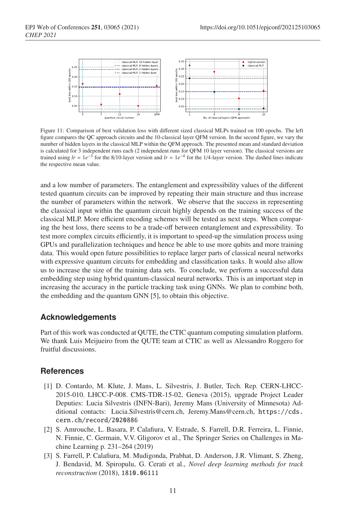

Figure 11: Comparison of best validation loss with different sized classical MLPs trained on 100 epochs. The left figure compares the QC approach circuits and the 10-classical layer QFM version. In the second figure, we vary the number of hidden layers in the classical MLP within the QFM approach. The presented mean and standard deviation is calculated for 3 independent runs each (2 independent runs for QFM 10 layer version). The classical versions are trained using  $lr = 1e^{-3}$  for the 8/10-layer version and  $lr = 1e^{-4}$  for the 1/4-layer version. The dashed lines indicate the respective mean value.

and a low number of parameters. The entanglement and expressibility values of the different tested quantum circuits can be improved by repeating their main structure and thus increase the number of parameters within the network. We observe that the success in representing the classical input within the quantum circuit highly depends on the training success of the classical MLP. More efficient encoding schemes will be tested as next steps. When comparing the best loss, there seems to be a trade-off between entanglement and expressibility. To test more complex circuits efficiently, it is important to speed-up the simulation process using GPUs and parallelization techniques and hence be able to use more qubits and more training data. This would open future possibilities to replace larger parts of classical neural networks with expressive quantum circuits for embedding and classification tasks. It would also allow us to increase the size of the training data sets. To conclude, we perform a successful data embedding step using hybrid quantum-classical neural networks. This is an important step in increasing the accuracy in the particle tracking task using GNNs. We plan to combine both, the embedding and the quantum GNN [5], to obtain this objective.

### **Acknowledgements**

Part of this work was conducted at QUTE, the CTIC quantum computing simulation platform. We thank Luis Meijueiro from the QUTE team at CTIC as well as Alessandro Roggero for fruitful discussions.

### **References**

- [1] D. Contardo, M. Klute, J. Mans, L. Silvestris, J. Butler, Tech. Rep. CERN-LHCC-2015-010. LHCC-P-008. CMS-TDR-15-02, Geneva (2015), upgrade Project Leader Deputies: Lucia Silvestris (INFN-Bari), Jeremy Mans (University of Minnesota) Additional contacts: Lucia.Silvestris@cern.ch, Jeremy.Mans@cern.ch, https://cds. cern.ch/record/2020886
- [2] S. Amrouche, L. Basara, P. Calafiura, V. Estrade, S. Farrell, D.R. Ferreira, L. Finnie, N. Finnie, C. Germain, V.V. Gligorov et al., The Springer Series on Challenges in Machine Learning p. 231–264 (2019)
- [3] S. Farrell, P. Calafiura, M. Mudigonda, Prabhat, D. Anderson, J.R. Vlimant, S. Zheng, J. Bendavid, M. Spiropulu, G. Cerati et al., *Novel deep learning methods for track reconstruction* (2018), 1810.06111